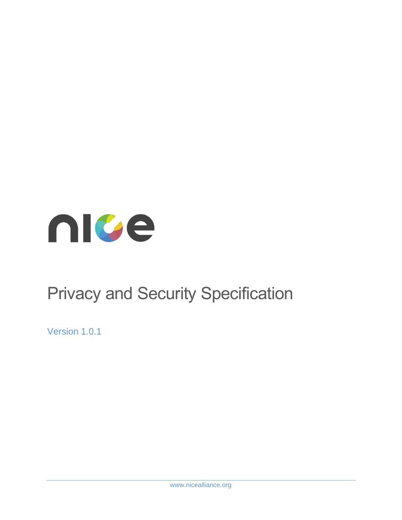

# Privacy and Security Specification

Version 1.0.1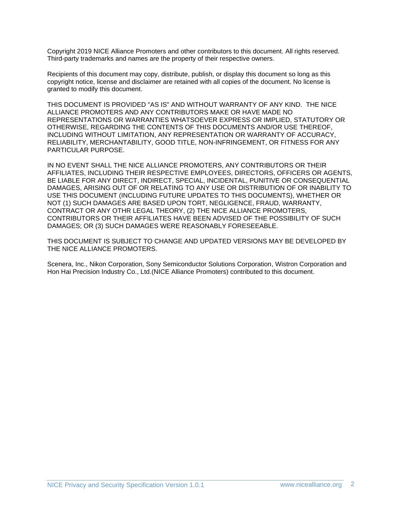Copyright 2019 NICE Alliance Promoters and other contributors to this document. All rights reserved. Third-party trademarks and names are the property of their respective owners.

Recipients of this document may copy, distribute, publish, or display this document so long as this copyright notice, license and disclaimer are retained with all copies of the document. No license is granted to modify this document.

THIS DOCUMENT IS PROVIDED "AS IS" AND WITHOUT WARRANTY OF ANY KIND. THE NICE ALLIANCE PROMOTERS AND ANY CONTRIBUTORS MAKE OR HAVE MADE NO REPRESENTATIONS OR WARRANTIES WHATSOEVER EXPRESS OR IMPLIED, STATUTORY OR OTHERWISE, REGARDING THE CONTENTS OF THIS DOCUMENTS AND/OR USE THEREOF, INCLUDING WITHOUT LIMITATION, ANY REPRESENTATION OR WARRANTY OF ACCURACY, RELIABILITY, MERCHANTABILITY, GOOD TITLE, NON-INFRINGEMENT, OR FITNESS FOR ANY PARTICULAR PURPOSE.

IN NO EVENT SHALL THE NICE ALLIANCE PROMOTERS, ANY CONTRIBUTORS OR THEIR AFFILIATES, INCLUDING THEIR RESPECTIVE EMPLOYEES, DIRECTORS, OFFICERS OR AGENTS, BE LIABLE FOR ANY DIRECT, INDIRECT, SPECIAL, INCIDENTAL, PUNITIVE OR CONSEQUENTIAL DAMAGES, ARISING OUT OF OR RELATING TO ANY USE OR DISTRIBUTION OF OR INABILITY TO USE THIS DOCUMENT (INCLUDING FUTURE UPDATES TO THIS DOCUMENTS), WHETHER OR NOT (1) SUCH DAMAGES ARE BASED UPON TORT, NEGLIGENCE, FRAUD, WARRANTY, CONTRACT OR ANY OTHR LEGAL THEORY, (2) THE NICE ALLIANCE PROMOTERS, CONTRIBUTORS OR THEIR AFFILIATES HAVE BEEN ADVISED OF THE POSSIBILITY OF SUCH DAMAGES; OR (3) SUCH DAMAGES WERE REASONABLY FORESEEABLE.

THIS DOCUMENT IS SUBJECT TO CHANGE AND UPDATED VERSIONS MAY BE DEVELOPED BY THE NICE ALLIANCE PROMOTERS.

Scenera, Inc., Nikon Corporation, Sony Semiconductor Solutions Corporation, Wistron Corporation and Hon Hai Precision Industry Co., Ltd.(NICE Alliance Promoters) contributed to this document.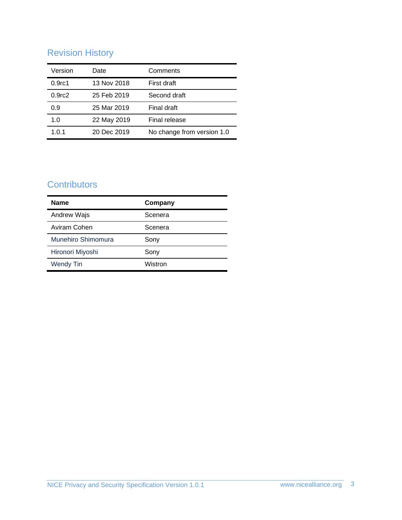# Revision History

| Version            | Date        | Comments                   |
|--------------------|-------------|----------------------------|
| 0.9 <sub>rc1</sub> | 13 Nov 2018 | First draft                |
| 0.9 <sub>rc2</sub> | 25 Feb 2019 | Second draft               |
| 0.9                | 25 Mar 2019 | Final draft                |
| 1.0                | 22 May 2019 | Final release              |
| 1.0.1              | 20 Dec 2019 | No change from version 1.0 |

# **Contributors**

| <b>Name</b>        | Company |
|--------------------|---------|
| Andrew Wajs        | Scenera |
| Aviram Cohen       | Scenera |
| Munehiro Shimomura | Sony    |
| Hironori Miyoshi   | Sony    |
| <b>Wendy Tin</b>   | Wistron |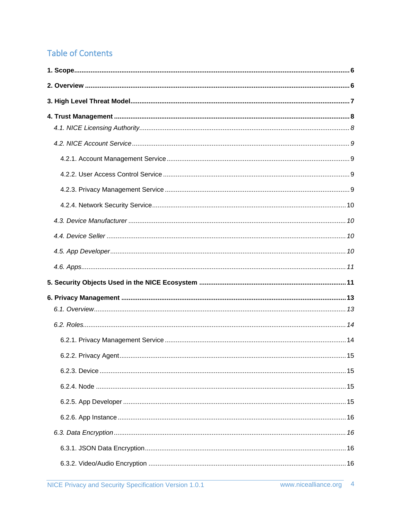# **Table of Contents**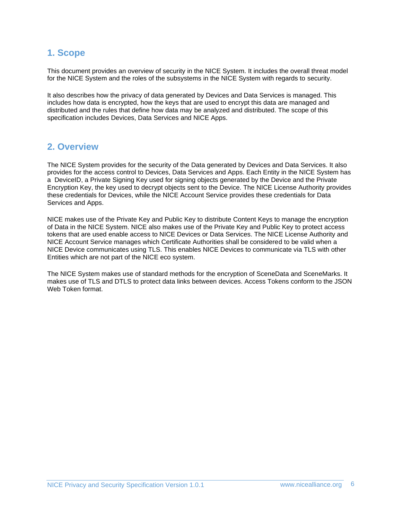## <span id="page-5-0"></span>**1. Scope**

This document provides an overview of security in the NICE System. It includes the overall threat model for the NICE System and the roles of the subsystems in the NICE System with regards to security.

It also describes how the privacy of data generated by Devices and Data Services is managed. This includes how data is encrypted, how the keys that are used to encrypt this data are managed and distributed and the rules that define how data may be analyzed and distributed. The scope of this specification includes Devices, Data Services and NICE Apps.

### <span id="page-5-1"></span>**2. Overview**

The NICE System provides for the security of the Data generated by Devices and Data Services. It also provides for the access control to Devices, Data Services and Apps. Each Entity in the NICE System has a DeviceID, a Private Signing Key used for signing objects generated by the Device and the Private Encryption Key, the key used to decrypt objects sent to the Device. The NICE License Authority provides these credentials for Devices, while the NICE Account Service provides these credentials for Data Services and Apps.

NICE makes use of the Private Key and Public Key to distribute Content Keys to manage the encryption of Data in the NICE System. NICE also makes use of the Private Key and Public Key to protect access tokens that are used enable access to NICE Devices or Data Services. The NICE License Authority and NICE Account Service manages which Certificate Authorities shall be considered to be valid when a NICE Device communicates using TLS. This enables NICE Devices to communicate via TLS with other Entities which are not part of the NICE eco system.

The NICE System makes use of standard methods for the encryption of SceneData and SceneMarks. It makes use of TLS and DTLS to protect data links between devices. Access Tokens conform to the JSON Web Token format.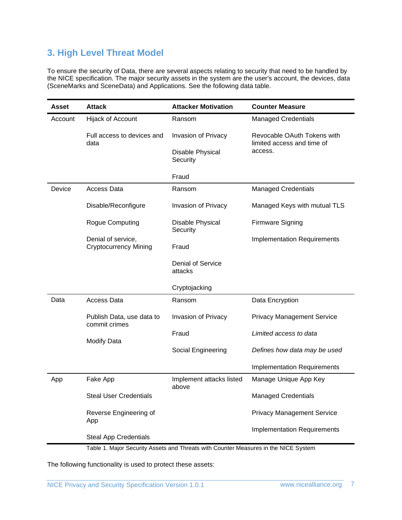### <span id="page-6-0"></span>**3. High Level Threat Model**

To ensure the security of Data, there are several aspects relating to security that need to be handled by the NICE specification. The major security assets in the system are the user's account, the devices, data (SceneMarks and SceneData) and Applications. See the following data table.

| <b>Asset</b> | <b>Attack</b>                                      | <b>Attacker Motivation</b>          | <b>Counter Measure</b>                                    |
|--------------|----------------------------------------------------|-------------------------------------|-----------------------------------------------------------|
| Account      | Hijack of Account                                  | Ransom                              | <b>Managed Credentials</b>                                |
|              | Full access to devices and<br>data                 | Invasion of Privacy                 | Revocable OAuth Tokens with<br>limited access and time of |
|              |                                                    | Disable Physical<br>Security        | access.                                                   |
|              |                                                    | Fraud                               |                                                           |
| Device       | <b>Access Data</b>                                 | Ransom                              | <b>Managed Credentials</b>                                |
|              | Disable/Reconfigure                                | Invasion of Privacy                 | Managed Keys with mutual TLS                              |
|              | Rogue Computing                                    | Disable Physical<br>Security        | <b>Firmware Signing</b>                                   |
|              | Denial of service,<br><b>Cryptocurrency Mining</b> | Fraud                               | <b>Implementation Requirements</b>                        |
|              |                                                    | <b>Denial of Service</b><br>attacks |                                                           |
|              |                                                    | Cryptojacking                       |                                                           |
| Data         | <b>Access Data</b>                                 | Ransom                              | Data Encryption                                           |
|              | Publish Data, use data to<br>commit crimes         | Invasion of Privacy                 | <b>Privacy Management Service</b>                         |
|              | <b>Modify Data</b>                                 | Fraud                               | Limited access to data                                    |
|              |                                                    | Social Engineering                  | Defines how data may be used                              |
|              |                                                    |                                     | <b>Implementation Requirements</b>                        |
| App          | Fake App                                           | Implement attacks listed<br>above   | Manage Unique App Key                                     |
|              | <b>Steal User Credentials</b>                      |                                     | <b>Managed Credentials</b>                                |
|              | Reverse Engineering of<br>App                      |                                     | <b>Privacy Management Service</b>                         |
|              | <b>Steal App Credentials</b>                       |                                     | <b>Implementation Requirements</b>                        |

Table 1. Major Security Assets and Threats with Counter Measures in the NICE System

The following functionality is used to protect these assets: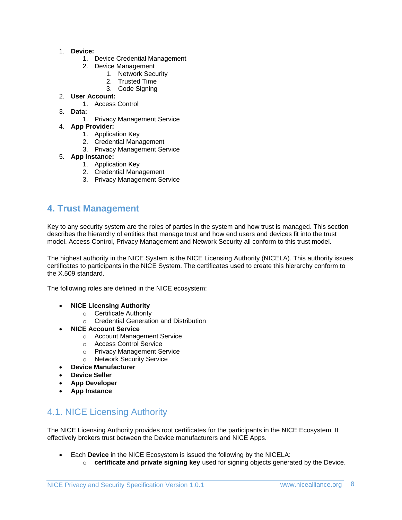#### 1. **Device:**

- 1. Device Credential Management
- 2. Device Management
	- 1. Network Security
	- 2. Trusted Time
	- 3. Code Signing
- 2. **User Account:**
	- 1. Access Control
- 3. **Data:**
	- 1. Privacy Management Service
- 4. **App Provider:**
	- 1. Application Key
	- 2. Credential Management
	- 3. Privacy Management Service

#### 5. **App Instance:**

- 1. Application Key
- 2. Credential Management
- 3. Privacy Management Service

# <span id="page-7-0"></span>**4. Trust Management**

Key to any security system are the roles of parties in the system and how trust is managed. This section describes the hierarchy of entities that manage trust and how end users and devices fit into the trust model. Access Control, Privacy Management and Network Security all conform to this trust model.

The highest authority in the NICE System is the NICE Licensing Authority (NICELA). This authority issues certificates to participants in the NICE System. The certificates used to create this hierarchy conform to the X.509 standard.

The following roles are defined in the NICE ecosystem:

- **NICE Licensing Authority**
	- o Certificate Authority
	- o Credential Generation and Distribution
- **NICE Account Service**
	- o Account Management Service
	- o Access Control Service
	- o Privacy Management Service
	- o Network Security Service
	- **Device Manufacturer**
- **Device Seller**
- **App Developer**
- **App Instance**

# <span id="page-7-1"></span>4.1. NICE Licensing Authority

The NICE Licensing Authority provides root certificates for the participants in the NICE Ecosystem. It effectively brokers trust between the Device manufacturers and NICE Apps.

- Each **Device** in the NICE Ecosystem is issued the following by the NICELA:
	- o **certificate and private signing key** used for signing objects generated by the Device.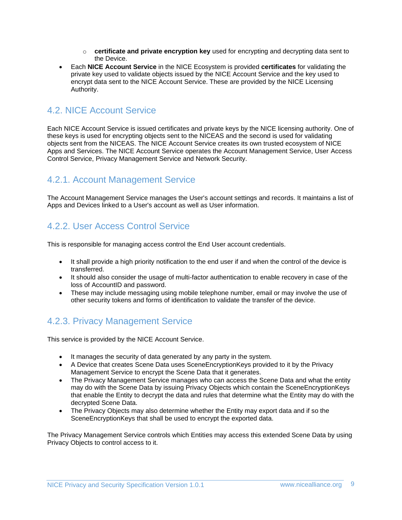- o **certificate and private encryption key** used for encrypting and decrypting data sent to the Device.
- Each **NICE Account Service** in the NICE Ecosystem is provided **certificates** for validating the private key used to validate objects issued by the NICE Account Service and the key used to encrypt data sent to the NICE Account Service. These are provided by the NICE Licensing Authority.

# <span id="page-8-0"></span>4.2. NICE Account Service

Each NICE Account Service is issued certificates and private keys by the NICE licensing authority. One of these keys is used for encrypting objects sent to the NICEAS and the second is used for validating objects sent from the NICEAS. The NICE Account Service creates its own trusted ecosystem of NICE Apps and Services. The NICE Account Service operates the Account Management Service, User Access Control Service, Privacy Management Service and Network Security.

### <span id="page-8-1"></span>4.2.1. Account Management Service

The Account Management Service manages the User's account settings and records. It maintains a list of Apps and Devices linked to a User's account as well as User information.

# <span id="page-8-2"></span>4.2.2. User Access Control Service

This is responsible for managing access control the End User account credentials.

- It shall provide a high priority notification to the end user if and when the control of the device is transferred.
- It should also consider the usage of multi-factor authentication to enable recovery in case of the loss of AccountID and password.
- These may include messaging using mobile telephone number, email or may involve the use of other security tokens and forms of identification to validate the transfer of the device.

# <span id="page-8-3"></span>4.2.3. Privacy Management Service

This service is provided by the NICE Account Service.

- It manages the security of data generated by any party in the system.
- A Device that creates Scene Data uses SceneEncryptionKeys provided to it by the Privacy Management Service to encrypt the Scene Data that it generates.
- The Privacy Management Service manages who can access the Scene Data and what the entity may do with the Scene Data by issuing Privacy Objects which contain the SceneEncryptionKeys that enable the Entity to decrypt the data and rules that determine what the Entity may do with the decrypted Scene Data.
- The Privacy Objects may also determine whether the Entity may export data and if so the SceneEncryptionKeys that shall be used to encrypt the exported data.

The Privacy Management Service controls which Entities may access this extended Scene Data by using Privacy Objects to control access to it.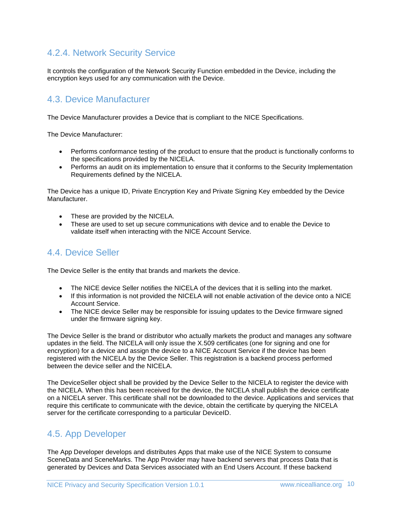### <span id="page-9-0"></span>4.2.4. Network Security Service

It controls the configuration of the Network Security Function embedded in the Device, including the encryption keys used for any communication with the Device.

### <span id="page-9-1"></span>4.3. Device Manufacturer

The Device Manufacturer provides a Device that is compliant to the NICE Specifications.

The Device Manufacturer:

- Performs conformance testing of the product to ensure that the product is functionally conforms to the specifications provided by the NICELA.
- Performs an audit on its implementation to ensure that it conforms to the Security Implementation Requirements defined by the NICELA.

The Device has a unique ID, Private Encryption Key and Private Signing Key embedded by the Device Manufacturer.

- These are provided by the NICELA.
- These are used to set up secure communications with device and to enable the Device to validate itself when interacting with the NICE Account Service.

### <span id="page-9-2"></span>4.4. Device Seller

The Device Seller is the entity that brands and markets the device.

- The NICE device Seller notifies the NICELA of the devices that it is selling into the market.
- If this information is not provided the NICELA will not enable activation of the device onto a NICE Account Service.
- The NICE device Seller may be responsible for issuing updates to the Device firmware signed under the firmware signing key.

The Device Seller is the brand or distributor who actually markets the product and manages any software updates in the field. The NICELA will only issue the X.509 certificates (one for signing and one for encryption) for a device and assign the device to a NICE Account Service if the device has been registered with the NICELA by the Device Seller. This registration is a backend process performed between the device seller and the NICELA.

The DeviceSeller object shall be provided by the Device Seller to the NICELA to register the device with the NICELA. When this has been received for the device, the NICELA shall publish the device certificate on a NICELA server. This certificate shall not be downloaded to the device. Applications and services that require this certificate to communicate with the device, obtain the certificate by querying the NICELA server for the certificate corresponding to a particular DeviceID.

### <span id="page-9-3"></span>4.5. App Developer

The App Developer develops and distributes Apps that make use of the NICE System to consume SceneData and SceneMarks. The App Provider may have backend servers that process Data that is generated by Devices and Data Services associated with an End Users Account. If these backend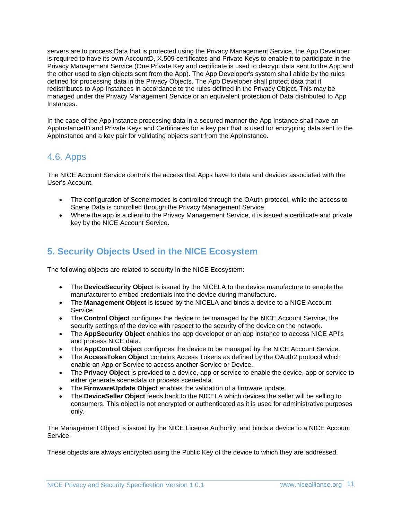servers are to process Data that is protected using the Privacy Management Service, the App Developer is required to have its own AccountD, X.509 certificates and Private Keys to enable it to participate in the Privacy Management Service (One Private Key and certificate is used to decrypt data sent to the App and the other used to sign objects sent from the App). The App Developer's system shall abide by the rules defined for processing data in the Privacy Objects. The App Developer shall protect data that it redistributes to App Instances in accordance to the rules defined in the Privacy Object. This may be managed under the Privacy Management Service or an equivalent protection of Data distributed to App Instances.

In the case of the App instance processing data in a secured manner the App Instance shall have an AppInstanceID and Private Keys and Certificates for a key pair that is used for encrypting data sent to the AppInstance and a key pair for validating objects sent from the AppInstance.

### <span id="page-10-0"></span>4.6. Apps

The NICE Account Service controls the access that Apps have to data and devices associated with the User's Account.

- The configuration of Scene modes is controlled through the OAuth protocol, while the access to Scene Data is controlled through the Privacy Management Service.
- Where the app is a client to the Privacy Management Service, it is issued a certificate and private key by the NICE Account Service.

# <span id="page-10-1"></span>**5. Security Objects Used in the NICE Ecosystem**

The following objects are related to security in the NICE Ecosystem:

- The **DeviceSecurity Object** is issued by the NICELA to the device manufacture to enable the manufacturer to embed credentials into the device during manufacture.
- The **Management Object** is issued by the NICELA and binds a device to a NICE Account Service.
- The **Control Object** configures the device to be managed by the NICE Account Service, the security settings of the device with respect to the security of the device on the network.
- The **AppSecurity Object** enables the app developer or an app instance to access NICE API's and process NICE data.
- The **AppControl Object** configures the device to be managed by the NICE Account Service.
- The **AccessToken Object** contains Access Tokens as defined by the OAuth2 protocol which enable an App or Service to access another Service or Device.
- The **Privacy Object** is provided to a device, app or service to enable the device, app or service to either generate scenedata or process scenedata.
- The **FirmwareUpdate Object** enables the validation of a firmware update.
- The **DeviceSeller Object** feeds back to the NICELA which devices the seller will be selling to consumers. This object is not encrypted or authenticated as it is used for administrative purposes only.

The Management Object is issued by the NICE License Authority, and binds a device to a NICE Account Service.

These objects are always encrypted using the Public Key of the device to which they are addressed.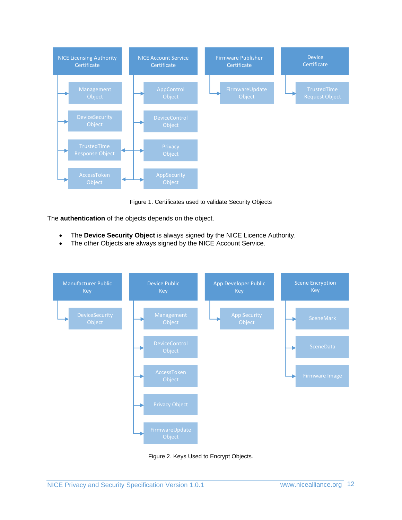

Figure 1. Certificates used to validate Security Objects

The **authentication** of the objects depends on the object.

- The **Device Security Object** is always signed by the NICE Licence Authority.
- The other Objects are always signed by the NICE Account Service.



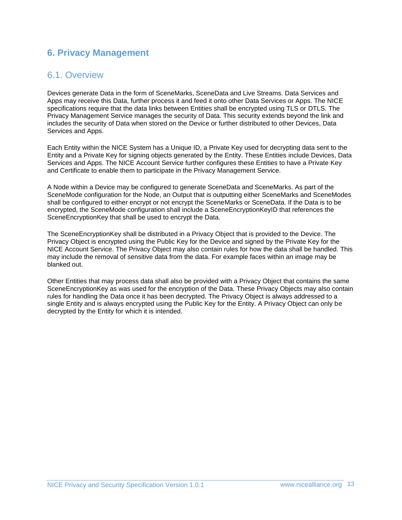# <span id="page-12-1"></span><span id="page-12-0"></span>**6. Privacy Management**

### 6.1. Overview

Devices generate Data in the form of SceneMarks, SceneData and Live Streams. Data Services and Apps may receive this Data, further process it and feed it onto other Data Services or Apps. The NICE specifications require that the data links between Entities shall be encrypted using TLS or DTLS. The Privacy Management Service manages the security of Data. This security extends beyond the link and includes the security of Data when stored on the Device or further distributed to other Devices, Data Services and Apps.

Each Entity within the NICE System has a Unique ID, a Private Key used for decrypting data sent to the Entity and a Private Key for signing objects generated by the Entity. These Entities include Devices, Data Services and Apps. The NICE Account Service further configures these Entities to have a Private Key and Certificate to enable them to participate in the Privacy Management Service.

A Node within a Device may be configured to generate SceneData and SceneMarks. As part of the SceneMode configuration for the Node, an Output that is outputting either SceneMarks and SceneModes shall be configured to either encrypt or not encrypt the SceneMarks or SceneData. If the Data is to be encrypted, the SceneMode configuration shall include a SceneEncryptionKeyID that references the SceneEncryptionKey that shall be used to encrypt the Data.

The SceneEncryptionKey shall be distributed in a Privacy Object that is provided to the Device. The Privacy Object is encrypted using the Public Key for the Device and signed by the Private Key for the NICE Account Service. The Privacy Object may also contain rules for how the data shall be handled. This may include the removal of sensitive data from the data. For example faces within an image may be blanked out.

Other Entities that may process data shall also be provided with a Privacy Object that contains the same SceneEncryptionKey as was used for the encryption of the Data. These Privacy Objects may also contain rules for handling the Data once it has been decrypted. The Privacy Object is always addressed to a single Entity and is always encrypted using the Public Key for the Entity. A Privacy Object can only be decrypted by the Entity for which it is intended.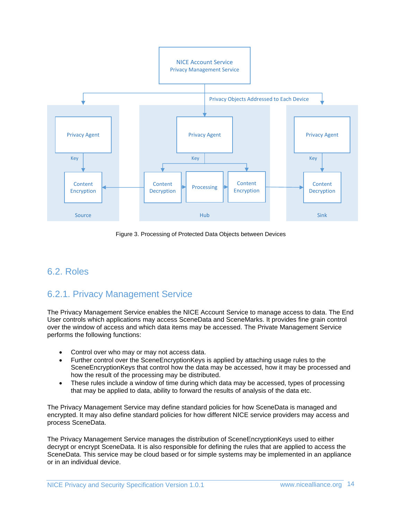

Figure 3. Processing of Protected Data Objects between Devices

### <span id="page-13-1"></span><span id="page-13-0"></span>6.2. Roles

### 6.2.1. Privacy Management Service

The Privacy Management Service enables the NICE Account Service to manage access to data. The End User controls which applications may access SceneData and SceneMarks. It provides fine grain control over the window of access and which data items may be accessed. The Private Management Service performs the following functions:

- Control over who may or may not access data.
- Further control over the SceneEncryptionKeys is applied by attaching usage rules to the SceneEncryptionKeys that control how the data may be accessed, how it may be processed and how the result of the processing may be distributed.
- These rules include a window of time during which data may be accessed, types of processing that may be applied to data, ability to forward the results of analysis of the data etc.

The Privacy Management Service may define standard policies for how SceneData is managed and encrypted. It may also define standard policies for how different NICE service providers may access and process SceneData.

The Privacy Management Service manages the distribution of SceneEncryptionKeys used to either decrypt or encrypt SceneData. It is also responsible for defining the rules that are applied to access the SceneData. This service may be cloud based or for simple systems may be implemented in an appliance or in an individual device.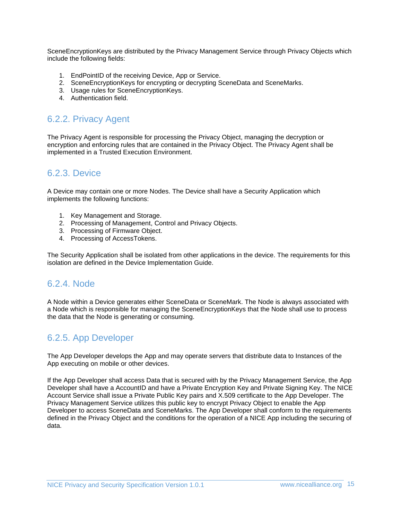SceneEncryptionKeys are distributed by the Privacy Management Service through Privacy Objects which include the following fields:

- 1. EndPointID of the receiving Device, App or Service.
- 2. SceneEncryptionKeys for encrypting or decrypting SceneData and SceneMarks.
- 3. Usage rules for SceneEncryptionKeys.
- 4. Authentication field.

### <span id="page-14-0"></span>6.2.2. Privacy Agent

The Privacy Agent is responsible for processing the Privacy Object, managing the decryption or encryption and enforcing rules that are contained in the Privacy Object. The Privacy Agent shall be implemented in a Trusted Execution Environment.

### <span id="page-14-1"></span>6.2.3. Device

A Device may contain one or more Nodes. The Device shall have a Security Application which implements the following functions:

- 1. Key Management and Storage.
- 2. Processing of Management, Control and Privacy Objects.
- 3. Processing of Firmware Object.
- 4. Processing of AccessTokens.

The Security Application shall be isolated from other applications in the device. The requirements for this isolation are defined in the Device Implementation Guide.

#### <span id="page-14-2"></span>6.2.4. Node

A Node within a Device generates either SceneData or SceneMark. The Node is always associated with a Node which is responsible for managing the SceneEncryptionKeys that the Node shall use to process the data that the Node is generating or consuming.

# <span id="page-14-3"></span>6.2.5. App Developer

The App Developer develops the App and may operate servers that distribute data to Instances of the App executing on mobile or other devices.

If the App Developer shall access Data that is secured with by the Privacy Management Service, the App Developer shall have a AccountID and have a Private Encryption Key and Private Signing Key. The NICE Account Service shall issue a Private Public Key pairs and X.509 certificate to the App Developer. The Privacy Management Service utilizes this public key to encrypt Privacy Object to enable the App Developer to access SceneData and SceneMarks. The App Developer shall conform to the requirements defined in the Privacy Object and the conditions for the operation of a NICE App including the securing of data.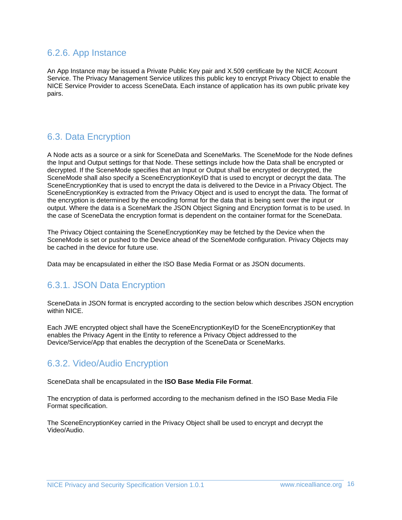### <span id="page-15-0"></span>6.2.6. App Instance

An App Instance may be issued a Private Public Key pair and X.509 certificate by the NICE Account Service. The Privacy Management Service utilizes this public key to encrypt Privacy Object to enable the NICE Service Provider to access SceneData. Each instance of application has its own public private key pairs.

# <span id="page-15-1"></span>6.3. Data Encryption

A Node acts as a source or a sink for SceneData and SceneMarks. The SceneMode for the Node defines the Input and Output settings for that Node. These settings include how the Data shall be encrypted or decrypted. If the SceneMode specifies that an Input or Output shall be encrypted or decrypted, the SceneMode shall also specify a SceneEncryptionKeyID that is used to encrypt or decrypt the data. The SceneEncryptionKey that is used to encrypt the data is delivered to the Device in a Privacy Object. The SceneEncryptionKey is extracted from the Privacy Object and is used to encrypt the data. The format of the encryption is determined by the encoding format for the data that is being sent over the input or output. Where the data is a SceneMark the JSON Object Signing and Encryption format is to be used. In the case of SceneData the encryption format is dependent on the container format for the SceneData.

The Privacy Object containing the SceneEncryptionKey may be fetched by the Device when the SceneMode is set or pushed to the Device ahead of the SceneMode configuration. Privacy Objects may be cached in the device for future use.

Data may be encapsulated in either the ISO Base Media Format or as JSON documents.

### <span id="page-15-2"></span>6.3.1. JSON Data Encryption

SceneData in JSON format is encrypted according to the section below which describes JSON encryption within NICE.

Each JWE encrypted object shall have the SceneEncryptionKeyID for the SceneEncryptionKey that enables the Privacy Agent in the Entity to reference a Privacy Object addressed to the Device/Service/App that enables the decryption of the SceneData or SceneMarks.

### <span id="page-15-3"></span>6.3.2. Video/Audio Encryption

SceneData shall be encapsulated in the **ISO Base Media File Format**.

The encryption of data is performed according to the mechanism defined in the ISO Base Media File Format specification.

The SceneEncryptionKey carried in the Privacy Object shall be used to encrypt and decrypt the Video/Audio.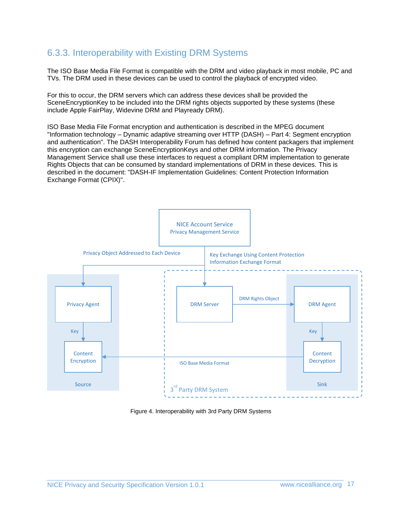### <span id="page-16-0"></span>6.3.3. Interoperability with Existing DRM Systems

The ISO Base Media File Format is compatible with the DRM and video playback in most mobile, PC and TVs. The DRM used in these devices can be used to control the playback of encrypted video.

For this to occur, the DRM servers which can address these devices shall be provided the SceneEncryptionKey to be included into the DRM rights objects supported by these systems (these include Apple FairPlay, Widevine DRM and Playready DRM).

ISO Base Media File Format encryption and authentication is described in the MPEG document "Information technology – Dynamic adaptive streaming over HTTP (DASH) – Part 4: Segment encryption and authentication". The DASH Interoperability Forum has defined how content packagers that implement this encryption can exchange SceneEncryptionKeys and other DRM information. The Privacy Management Service shall use these interfaces to request a compliant DRM implementation to generate Rights Objects that can be consumed by standard implementations of DRM in these devices. This is described in the document: "DASH-IF Implementation Guidelines: Content Protection Information Exchange Format (CPIX)".



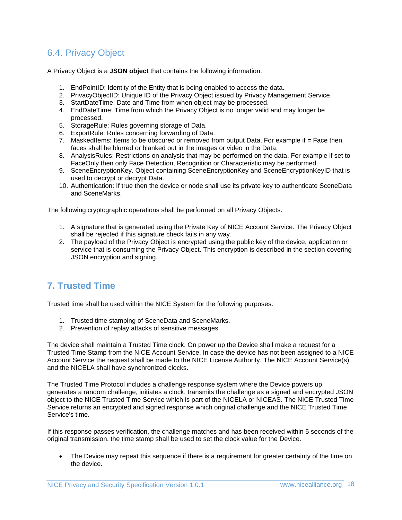# <span id="page-17-0"></span>6.4. Privacy Object

A Privacy Object is a **JSON object** that contains the following information:

- 1. EndPointID: Identity of the Entity that is being enabled to access the data.
- 2. PrivacyObjectID: Unique ID of the Privacy Object issued by Privacy Management Service.
- 3. StartDateTime: Date and Time from when object may be processed.
- 4. EndDateTime: Time from which the Privacy Object is no longer valid and may longer be processed.
- 5. StorageRule: Rules governing storage of Data.
- 6. ExportRule: Rules concerning forwarding of Data.
- 7. MaskedItems: Items to be obscured or removed from output Data. For example if = Face then faces shall be blurred or blanked out in the images or video in the Data.
- 8. AnalysisRules: Restrictions on analysis that may be performed on the data. For example if set to FaceOnly then only Face Detection, Recognition or Characteristic may be performed.
- 9. SceneEncryptionKey. Object containing SceneEncryptionKey and SceneEncryptionKeyID that is used to decrypt or decrypt Data.
- 10. Authentication: If true then the device or node shall use its private key to authenticate SceneData and SceneMarks.

The following cryptographic operations shall be performed on all Privacy Objects.

- 1. A signature that is generated using the Private Key of NICE Account Service. The Privacy Object shall be rejected if this signature check fails in any way.
- 2. The payload of the Privacy Object is encrypted using the public key of the device, application or service that is consuming the Privacy Object. This encryption is described in the section covering JSON encryption and signing.

### <span id="page-17-1"></span>**7. Trusted Time**

Trusted time shall be used within the NICE System for the following purposes:

- 1. Trusted time stamping of SceneData and SceneMarks.
- 2. Prevention of replay attacks of sensitive messages.

The device shall maintain a Trusted Time clock. On power up the Device shall make a request for a Trusted Time Stamp from the NICE Account Service. In case the device has not been assigned to a NICE Account Service the request shall be made to the NICE License Authority. The NICE Account Service(s) and the NICELA shall have synchronized clocks.

The Trusted Time Protocol includes a challenge response system where the Device powers up, generates a random challenge, initiates a clock, transmits the challenge as a signed and encrypted JSON object to the NICE Trusted Time Service which is part of the NICELA or NICEAS. The NICE Trusted Time Service returns an encrypted and signed response which original challenge and the NICE Trusted Time Service's time.

If this response passes verification, the challenge matches and has been received within 5 seconds of the original transmission, the time stamp shall be used to set the clock value for the Device.

The Device may repeat this sequence if there is a requirement for greater certainty of the time on the device.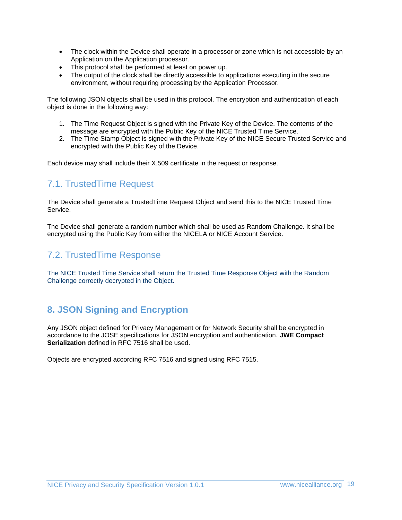- The clock within the Device shall operate in a processor or zone which is not accessible by an Application on the Application processor.
- This protocol shall be performed at least on power up.
- The output of the clock shall be directly accessible to applications executing in the secure environment, without requiring processing by the Application Processor.

The following JSON objects shall be used in this protocol. The encryption and authentication of each object is done in the following way:

- 1. The Time Request Object is signed with the Private Key of the Device. The contents of the message are encrypted with the Public Key of the NICE Trusted Time Service.
- 2. The Time Stamp Object is signed with the Private Key of the NICE Secure Trusted Service and encrypted with the Public Key of the Device.

Each device may shall include their X.509 certificate in the request or response.

# <span id="page-18-0"></span>7.1. TrustedTime Request

The Device shall generate a TrustedTime Request Object and send this to the NICE Trusted Time Service.

The Device shall generate a random number which shall be used as Random Challenge. It shall be encrypted using the Public Key from either the NICELA or NICE Account Service.

### <span id="page-18-1"></span>7.2. TrustedTime Response

The NICE Trusted Time Service shall return the Trusted Time Response Object with the Random Challenge correctly decrypted in the Object.

# <span id="page-18-2"></span>**8. JSON Signing and Encryption**

Any JSON object defined for Privacy Management or for Network Security shall be encrypted in accordance to the JOSE specifications for JSON encryption and authentication. **JWE Compact Serialization** defined in RFC 7516 shall be used.

Objects are encrypted according RFC 7516 and signed using RFC 7515.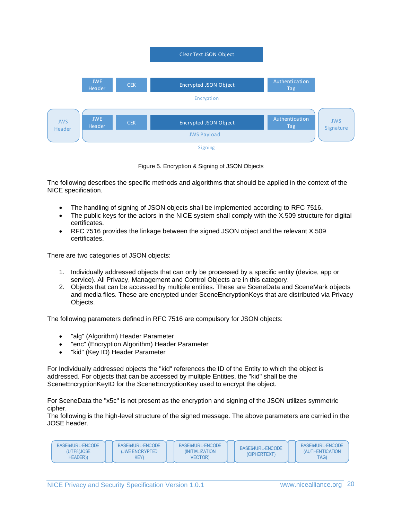Clear Text JSON Object



Figure 5. Encryption & Signing of JSON Objects

The following describes the specific methods and algorithms that should be applied in the context of the NICE specification.

- The handling of signing of JSON objects shall be implemented according to RFC 7516.
- The public keys for the actors in the NICE system shall comply with the X.509 structure for digital certificates.
- RFC 7516 provides the linkage between the signed JSON object and the relevant X.509 certificates.

There are two categories of JSON objects:

- 1. Individually addressed objects that can only be processed by a specific entity (device, app or service). All Privacy, Management and Control Objects are in this category.
- 2. Objects that can be accessed by multiple entities. These are SceneData and SceneMark objects and media files. These are encrypted under SceneEncryptionKeys that are distributed via Privacy Objects.

The following parameters defined in RFC 7516 are compulsory for JSON objects:

- "alg" (Algorithm) Header Parameter
- "enc" (Encryption Algorithm) Header Parameter
- "kid" (Key ID) Header Parameter

For Individually addressed objects the "kid" references the ID of the Entity to which the object is addressed. For objects that can be accessed by multiple Entities, the "kid" shall be the SceneEncryptionKeyID for the SceneEncryptionKey used to encrypt the object.

For SceneData the "x5c" is not present as the encryption and signing of the JSON utilizes symmetric cipher.

The following is the high-level structure of the signed message. The above parameters are carried in the JOSE header.

| KEY)<br>TAG)<br>HEADER))<br><b>VECTOR</b> |  | BASE64URL-ENCODE<br>(UTF8(JOSE | BASE64URL-ENCODE<br>(JWF FNCRYPTFD) | BASE64URL-ENCODE<br><i><b>INITIALIZATION</b></i> | BASE64URL-ENCODE<br>(CIPHERTEXT) | BASE64URL-ENCODE<br><i><b>(AUTHENTICATION)</b></i> |
|-------------------------------------------|--|--------------------------------|-------------------------------------|--------------------------------------------------|----------------------------------|----------------------------------------------------|
|-------------------------------------------|--|--------------------------------|-------------------------------------|--------------------------------------------------|----------------------------------|----------------------------------------------------|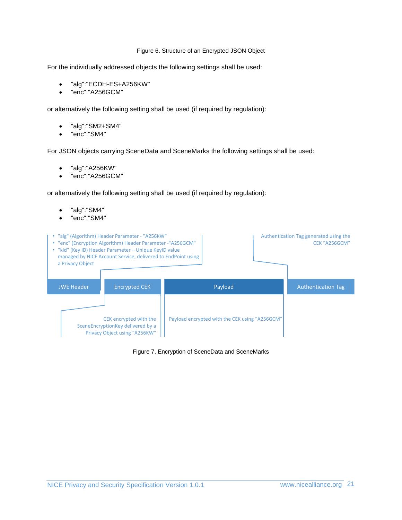#### Figure 6. Structure of an Encrypted JSON Object

For the individually addressed objects the following settings shall be used:

- "alg":"ECDH-ES+A256KW"
- "enc":"A256GCM"

or alternatively the following setting shall be used (if required by regulation):

- "alg":"SM2+SM4"
- "enc":"SM4"

For JSON objects carrying SceneData and SceneMarks the following settings shall be used:

- "alg":"A256KW"
- "enc":"A256GCM"

or alternatively the following setting shall be used (if required by regulation):

- "alg":"SM4"
- "enc":"SM4"



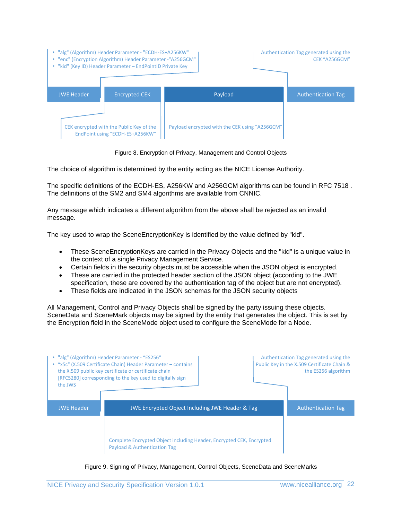| • "alg" (Algorithm) Header Parameter - "ECDH-ES+A256KW"<br>• "enc" (Encryption Algorithm) Header Parameter -"A256GCM"<br>• "kid" (Key ID) Header Parameter - EndPointID Private Key |                                                                             |                                                | Authentication Tag generated using the<br><b>CEK "A256GCM"</b> |
|-------------------------------------------------------------------------------------------------------------------------------------------------------------------------------------|-----------------------------------------------------------------------------|------------------------------------------------|----------------------------------------------------------------|
| <b>JWE Header</b>                                                                                                                                                                   | <b>Encrypted CEK</b>                                                        | Payload                                        | <b>Authentication Tag</b>                                      |
|                                                                                                                                                                                     | CEK encrypted with the Public Key of the<br>EndPoint using "ECDH-ES+A256KW" | Payload encrypted with the CEK using "A256GCM" |                                                                |

Figure 8. Encryption of Privacy, Management and Control Objects

The choice of algorithm is determined by the entity acting as the NICE License Authority.

The specific definitions of the ECDH-ES, A256KW and A256GCM algorithms can be found in RFC 7518 . The definitions of the SM2 and SM4 algorithms are available from CNNIC.

Any message which indicates a different algorithm from the above shall be rejected as an invalid message.

The key used to wrap the SceneEncryptionKey is identified by the value defined by "kid".

- These SceneEncryptionKeys are carried in the Privacy Objects and the "kid" is a unique value in the context of a single Privacy Management Service.
- Certain fields in the security objects must be accessible when the JSON object is encrypted.
- These are carried in the protected header section of the JSON object (according to the JWE specification, these are covered by the authentication tag of the object but are not encrypted).
- These fields are indicated in the JSON schemas for the JSON security objects

All Management, Control and Privacy Objects shall be signed by the party issuing these objects. SceneData and SceneMark objects may be signed by the entity that generates the object. This is set by the Encryption field in the SceneMode object used to configure the SceneMode for a Node.

| "alg" (Algorithm) Header Parameter - "ES256"<br>"x5c" (X.509 Certificate Chain) Header Parameter - contains<br>the X.509 public key certificate or certificate chain<br>[RFC5280] corresponding to the key used to digitally sign<br>the JWS |                                                                                                                 | Authentication Tag generated using the<br>Public Key in the X.509 Certificate Chain &<br>the ES256 algorithm |                           |
|----------------------------------------------------------------------------------------------------------------------------------------------------------------------------------------------------------------------------------------------|-----------------------------------------------------------------------------------------------------------------|--------------------------------------------------------------------------------------------------------------|---------------------------|
| <b>JWE Header</b>                                                                                                                                                                                                                            | <b>JWE Encrypted Object Including JWE Header &amp; Tag</b>                                                      |                                                                                                              | <b>Authentication Tag</b> |
|                                                                                                                                                                                                                                              | Complete Encrypted Object including Header, Encrypted CEK, Encrypted<br><b>Payload &amp; Authentication Tag</b> |                                                                                                              |                           |

Figure 9. Signing of Privacy, Management, Control Objects, SceneData and SceneMarks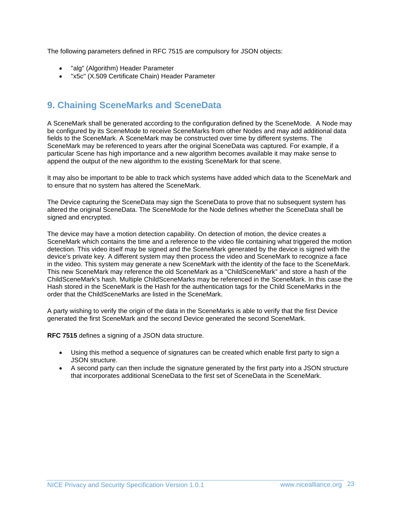The following parameters defined in RFC 7515 are compulsory for JSON objects:

- "alg" (Algorithm) Header Parameter
- "x5c" (X.509 Certificate Chain) Header Parameter

# <span id="page-22-0"></span>**9. Chaining SceneMarks and SceneData**

A SceneMark shall be generated according to the configuration defined by the SceneMode. A Node may be configured by its SceneMode to receive SceneMarks from other Nodes and may add additional data fields to the SceneMark. A SceneMark may be constructed over time by different systems. The SceneMark may be referenced to years after the original SceneData was captured. For example, if a particular Scene has high importance and a new algorithm becomes available it may make sense to append the output of the new algorithm to the existing SceneMark for that scene.

It may also be important to be able to track which systems have added which data to the SceneMark and to ensure that no system has altered the SceneMark.

The Device capturing the SceneData may sign the SceneData to prove that no subsequent system has altered the original SceneData. The SceneMode for the Node defines whether the SceneData shall be signed and encrypted.

The device may have a motion detection capability. On detection of motion, the device creates a SceneMark which contains the time and a reference to the video file containing what triggered the motion detection. This video itself may be signed and the SceneMark generated by the device is signed with the device's private key. A different system may then process the video and SceneMark to recognize a face in the video. This system may generate a new SceneMark with the identity of the face to the SceneMark. This new SceneMark may reference the old SceneMark as a "ChildSceneMark" and store a hash of the ChildSceneMark's hash. Multiple ChildSceneMarks may be referenced in the SceneMark. In this case the Hash stored in the SceneMark is the Hash for the authentication tags for the Child SceneMarks in the order that the ChildSceneMarks are listed in the SceneMark.

A party wishing to verify the origin of the data in the SceneMarks is able to verify that the first Device generated the first SceneMark and the second Device generated the second SceneMark.

**RFC 7515** defines a signing of a JSON data structure.

- Using this method a sequence of signatures can be created which enable first party to sign a JSON structure.
- A second party can then include the signature generated by the first party into a JSON structure that incorporates additional SceneData to the first set of SceneData in the SceneMark.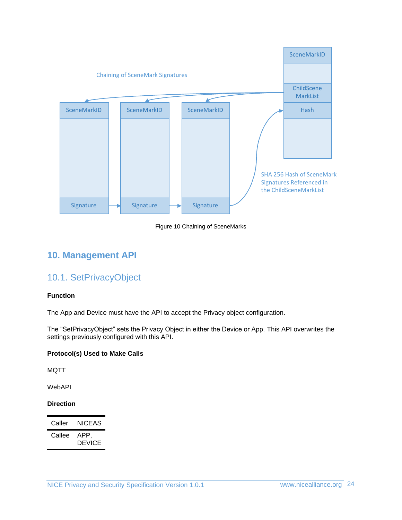

Figure 10 Chaining of SceneMarks

## <span id="page-23-1"></span><span id="page-23-0"></span>**10. Management API**

### 10.1. SetPrivacyObject

#### **Function**

The App and Device must have the API to accept the Privacy object configuration.

The "SetPrivacyObject" sets the Privacy Object in either the Device or App. This API overwrites the settings previously configured with this API.

#### **Protocol(s) Used to Make Calls**

MQTT

WebAPI

#### **Direction**

| Caller | NICEAS                |
|--------|-----------------------|
| Callee | APP.<br><b>DEVICE</b> |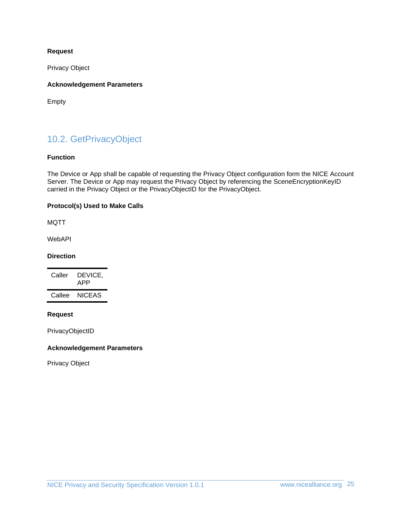#### **Request**

Privacy Object

#### **Acknowledgement Parameters**

Empty

# <span id="page-24-0"></span>10.2. GetPrivacyObject

#### **Function**

The Device or App shall be capable of requesting the Privacy Object configuration form the NICE Account Server. The Device or App may request the Privacy Object by referencing the SceneEncryptionKeyID carried in the Privacy Object or the PrivacyObjectID for the PrivacyObject.

#### **Protocol(s) Used to Make Calls**

MQTT

WebAPI

#### **Direction**

| Caller | DEVICE.<br>APP |
|--------|----------------|
| Callee | NICEAS         |

#### **Request**

PrivacyObjectID

#### **Acknowledgement Parameters**

Privacy Object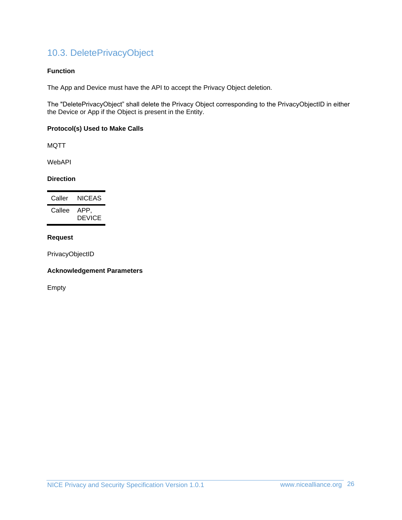# <span id="page-25-0"></span>10.3. DeletePrivacyObject

#### **Function**

The App and Device must have the API to accept the Privacy Object deletion.

The "DeletePrivacyObject" shall delete the Privacy Object corresponding to the PrivacyObjectID in either the Device or App if the Object is present in the Entity.

#### **Protocol(s) Used to Make Calls**

MQTT

WebAPI

#### **Direction**

| Caller | NICEAS                |
|--------|-----------------------|
| Callee | APP.<br><b>DEVICE</b> |

#### **Request**

PrivacyObjectID

#### **Acknowledgement Parameters**

Empty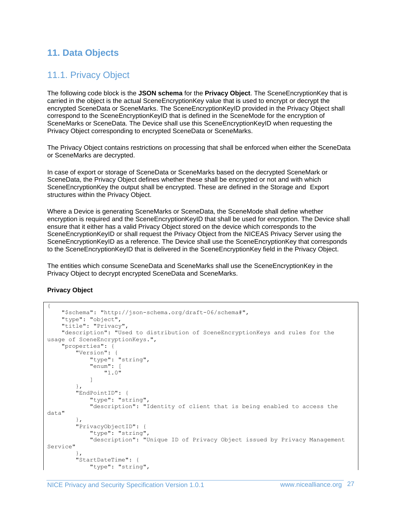# <span id="page-26-1"></span><span id="page-26-0"></span>**11. Data Objects**

# 11.1. Privacy Object

The following code block is the **JSON schema** for the **Privacy Object**. The SceneEncryptionKey that is carried in the object is the actual SceneEncryptionKey value that is used to encrypt or decrypt the encrypted SceneData or SceneMarks. The SceneEncryptionKeyID provided in the Privacy Object shall correspond to the SceneEncryptionKeyID that is defined in the SceneMode for the encryption of SceneMarks or SceneData. The Device shall use this SceneEncryptionKeyID when requesting the Privacy Object corresponding to encrypted SceneData or SceneMarks.

The Privacy Object contains restrictions on processing that shall be enforced when either the SceneData or SceneMarks are decrypted.

In case of export or storage of SceneData or SceneMarks based on the decrypted SceneMark or SceneData, the Privacy Object defines whether these shall be encrypted or not and with which SceneEncryptionKey the output shall be encrypted. These are defined in the Storage and Export structures within the Privacy Object.

Where a Device is generating SceneMarks or SceneData, the SceneMode shall define whether encryption is required and the SceneEncryptionKeyID that shall be used for encryption. The Device shall ensure that it either has a valid Privacy Object stored on the device which corresponds to the SceneEncryptionKeyID or shall request the Privacy Object from the NICEAS Privacy Server using the SceneEncryptionKeyID as a reference. The Device shall use the SceneEncryptionKey that corresponds to the SceneEncryptionKeyID that is delivered in the SceneEncryptionKey field in the Privacy Object.

The entities which consume SceneData and SceneMarks shall use the SceneEncryptionKey in the Privacy Object to decrypt encrypted SceneData and SceneMarks.

#### **Privacy Object**

```
{
     "$schema": "http://json-schema.org/draft-06/schema#",
 "type": "object",
 "title": "Privacy",
     "description": "Used to distribution of SceneEncryptionKeys and rules for the 
usage of SceneEncryptionKeys.",
     "properties": {
         "Version": {
             "type": "string",
             "enum": [
                 "1.0"
 ]
         },
         "EndPointID": {
             "type": "string",
             "description": "Identity of client that is being enabled to access the 
data"
         },
         "PrivacyObjectID": {
             "type": "string",
             "description": "Unique ID of Privacy Object issued by Privacy Management 
Service"
         },
         "StartDateTime": {
            "type": "string",
```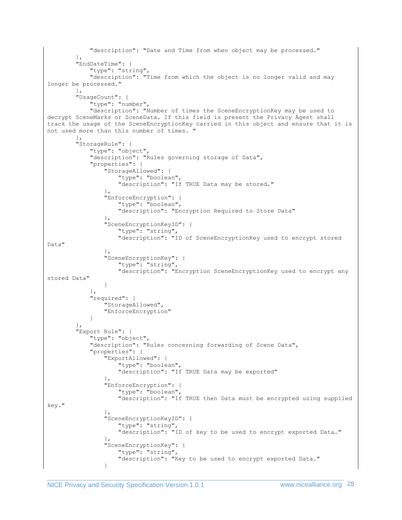```
 "description": "Date and Time from when object may be processed."
 },
 "EndDateTime": {
             "type": "string",
             "description": "Time from which the object is no longer valid and may 
longer be processed."
        },
         "UsageCount": {
             "type": "number",
             "description": "Number of times the SceneEncryptionKey may be used to 
decrypt SceneMarks or SceneData. If this field is present the Privacy Agent shall 
track the usage of the SceneEncryptionKey carried in this object and ensure that it is 
not used more than this number of times.
 },
 "StorageRule": {
             "type": "object",
             "description": "Rules governing storage of Data",
             "properties": {
                 "StorageAllowed": {
                     "type": "boolean",
                    "description": "If TRUE Data may be stored."
                 },
                 "EnforceEncryption": {
                     "type": "boolean",
                    "description": "Encryption Required to Store Data"
 },
                 "SceneEncryptionKeyID": {
                    "type": "string",
                   "description": "ID of SceneEncryptionKey used to encrypt stored 
Data"
                 },
                "SceneEncryptionKey": {
                    "type": "string",
                   "description": "Encryption SceneEncryptionKey used to encrypt any 
stored Data"
 }
 },
             "required": [
                 "StorageAllowed",
                 "EnforceEncryption"
 ]
         },
         "Export Rule": {
             "type": "object",
             "description": "Rules concerning forwarding of Scene Data",
             "properties": {
                 "ExportAllowed": {
                    "type": "boolean",
                   "description": "If TRUE Data may be exported"
                 },
                 "EnforceEncryption": {
                     "type": "boolean",
                    "description": "If TRUE then Data must be encrypted using supplied 
key."
                 },
                 "SceneEncryptionKeyID": {
                     "type": "string",
                   "description": "ID of key to be used to encrypt exported Data."
 },
                "SceneEncryptionKey": {
                    "type": "string",
                   "description": "Key to be used to encrypt exported Data."
 }
```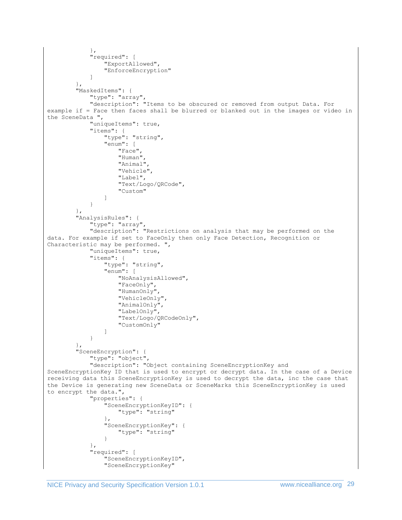```
 },
             "required": [
                 "ExportAllowed",
                 "EnforceEncryption"
 ]
         },
         "MaskedItems": {
             "type": "array",
             "description": "Items to be obscured or removed from output Data. For 
example if = Face then faces shall be blurred or blanked out in the images or video in 
the SceneData ",
             "uniqueItems": true,
             "items": {
                "type": "string",
                 "enum": [
                     "Face",
                    "Human",
                    "Animal",
                    "Vehicle",
                    "Label",
                    "Text/Logo/QRCode",
                    "Custom"
 ]
 }
         },
         "AnalysisRules": {
             "type": "array",
             "description": "Restrictions on analysis that may be performed on the 
data. For example if set to FaceOnly then only Face Detection, Recognition or 
Characteristic may be performed. ",
             "uniqueItems": true,
             "items": {
                 "type": "string",
                 "enum": [
                     "NoAnalysisAllowed",
                    "FaceOnly",
                    "HumanOnly",
                    "VehicleOnly",
                    "AnimalOnly",
                    "LabelOnly",
                    "Text/Logo/QRCodeOnly",
                    "CustomOnly"
 ]
            }
        },
         "SceneEncryption": {
             "type": "object",
             "description": "Object containing SceneEncryptionKey and 
SceneEncryptionKey ID that is used to encrypt or decrypt data. In the case of a Device 
receiving data this SceneEncryptionKey is used to decrypt the data, inc the case that 
the Device is generating new SceneData or SceneMarks this SceneEncryptionKey is used 
to encrypt the data.",
             "properties": {
                 "SceneEncryptionKeyID": {
                    "type": "string"
 },
                 "SceneEncryptionKey": {
                     "type": "string"
 }
             },
             "required": [
                 "SceneEncryptionKeyID",
                 "SceneEncryptionKey"
```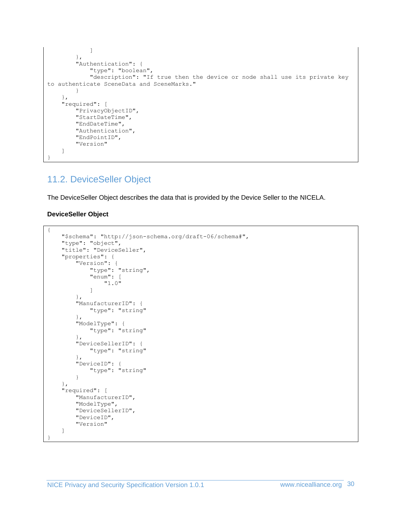```
 ]
         },
         "Authentication": {
              "type": "boolean",
              "description": "If true then the device or node shall use its private key 
to authenticate SceneData and SceneMarks."
         }
     },
     "required": [
         "PrivacyObjectID",
         "StartDateTime",
         "EndDateTime",
         "Authentication",
         "EndPointID",
         "Version"
     ]
}
```
# <span id="page-29-0"></span>11.2. DeviceSeller Object

The DeviceSeller Object describes the data that is provided by the Device Seller to the NICELA.

#### **DeviceSeller Object**

```
{
     "$schema": "http://json-schema.org/draft-06/schema#",
     "type": "object",
     "title": "DeviceSeller",
     "properties": {
         "Version": {
             "type": "string",
             "enum": [
                 "1.0"
 ]
         },
         "ManufacturerID": {
             "type": "string"
         },
         "ModelType": {
             "type": "string"
         },
         "DeviceSellerID": {
             "type": "string"
         },
         "DeviceID": {
             "type": "string"
         }
     },
     "required": [
         "ManufacturerID",
         "ModelType",
         "DeviceSellerID",
         "DeviceID",
         "Version"
     ]
}
```